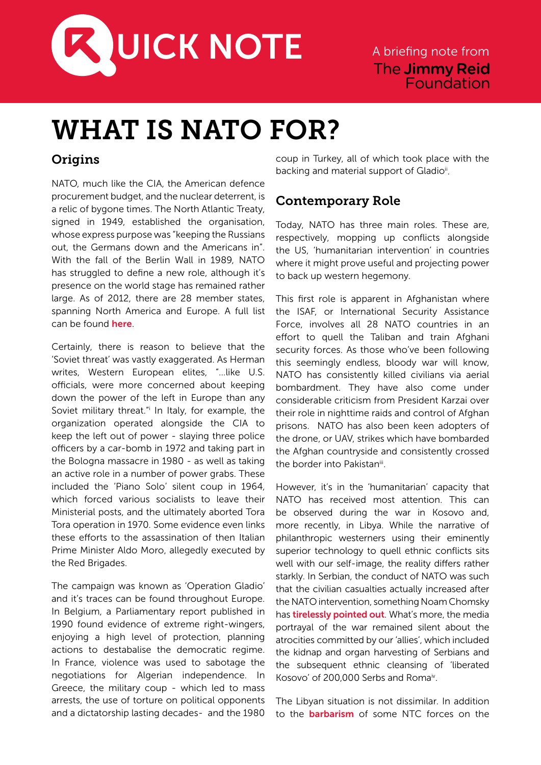

## WHAT IS NATO FOR?

## **Origins**

NATO, much like the CIA, the American defence procurement budget, and the nuclear deterrent, is a relic of bygone times. The North Atlantic Treaty, signed in 1949, established the organisation, whose express purpose was "keeping the Russians out, the Germans down and the Americans in". With the fall of the Berlin Wall in 1989, NATO has struggled to define a new role, although it's presence on the world stage has remained rather large. As of 2012, there are 28 member states, spanning North America and Europe. A full list can be found **[here](http://en.wikipedia.org/wiki/Member_states_of_NATO)**.

Certainly, there is reason to believe that the 'Soviet threat' was vastly exaggerated. As Herman writes, Western European elites, "…like U.S. officials, were more concerned about keeping down the power of the left in Europe than any Soviet military threat." In Italy, for example, the organization operated alongside the CIA to keep the left out of power - slaying three police officers by a car-bomb in 1972 and taking part in the Bologna massacre in 1980 - as well as taking an active role in a number of power grabs. These included the 'Piano Solo' silent coup in 1964, which forced various socialists to leave their Ministerial posts, and the ultimately aborted Tora Tora operation in 1970. Some evidence even links these efforts to the assassination of then Italian Prime Minister Aldo Moro, allegedly executed by the Red Brigades.

The campaign was known as 'Operation Gladio' and it's traces can be found throughout Europe. In Belgium, a Parliamentary report published in 1990 found evidence of extreme right-wingers, enjoying a high level of protection, planning actions to destabalise the democratic regime. In France, violence was used to sabotage the negotiations for Algerian independence. In Greece, the military coup - which led to mass arrests, the use of torture on political opponents and a dictatorship lasting decades- and the 1980 coup in Turkey, all of which took place with the backing and material support of Gladio<sup>ii</sup>.

## Contemporary Role

Today, NATO has three main roles. These are, respectively, mopping up conflicts alongside the US, 'humanitarian intervention' in countries where it might prove useful and projecting power to back up western hegemony.

This first role is apparent in Afghanistan where the ISAF, or International Security Assistance Force, involves all 28 NATO countries in an effort to quell the Taliban and train Afghani security forces. As those who've been following this seemingly endless, bloody war will know, NATO has consistently killed civilians via aerial bombardment. They have also come under considerable criticism from President Karzai over their role in nighttime raids and control of Afghan prisons. NATO has also been keen adopters of the drone, or UAV, strikes which have bombarded the Afghan countryside and consistently crossed the border into Pakistaniii.

However, it's in the 'humanitarian' capacity that NATO has received most attention. This can be observed during the war in Kosovo and, more recently, in Libya. While the narrative of philanthropic westerners using their eminently superior technology to quell ethnic conflicts sits well with our self-image, the reality differs rather starkly. In Serbian, the conduct of NATO was such that the civilian casualties actually increased after the NATO intervention, something Noam Chomsky has **[tirelessly pointed out](http://www.chomsky.info/articles/200005--.htm)**. What's more, the media portrayal of the war remained silent about the atrocities committed by our 'allies', which included the kidnap and organ harvesting of Serbians and the subsequent ethnic cleansing of 'liberated Kosovo' of 200,000 Serbs and Roma<sup>iv</sup>.

The Libyan situation is not dissimilar. In addition to the **[barbarism](http://www.guardian.co.uk/world/2012/feb/16/amnesty-widespread-torture-libyan-militias)** of some NTC forces on the